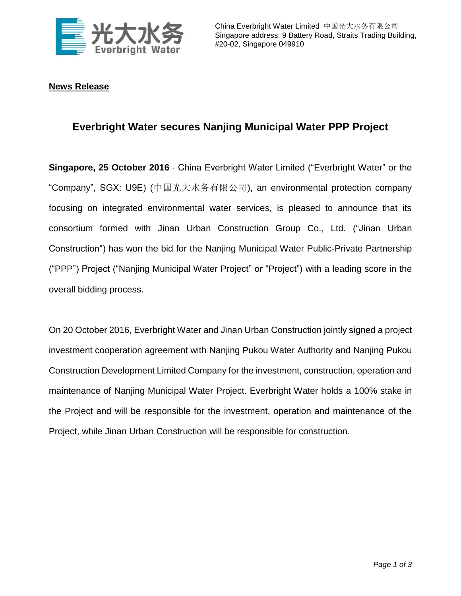

## **News Release**

## **Everbright Water secures Nanjing Municipal Water PPP Project**

**Singapore, 25 October 2016** - China Everbright Water Limited ("Everbright Water" or the "Company", SGX: U9E) (中国光大水务有限公司), an environmental protection company focusing on integrated environmental water services, is pleased to announce that its consortium formed with Jinan Urban Construction Group Co., Ltd. ("Jinan Urban Construction") has won the bid for the Nanjing Municipal Water Public-Private Partnership ("PPP") Project ("Nanjing Municipal Water Project" or "Project") with a leading score in the overall bidding process.

On 20 October 2016, Everbright Water and Jinan Urban Construction jointly signed a project investment cooperation agreement with Nanjing Pukou Water Authority and Nanjing Pukou Construction Development Limited Company for the investment, construction, operation and maintenance of Nanjing Municipal Water Project. Everbright Water holds a 100% stake in the Project and will be responsible for the investment, operation and maintenance of the Project, while Jinan Urban Construction will be responsible for construction.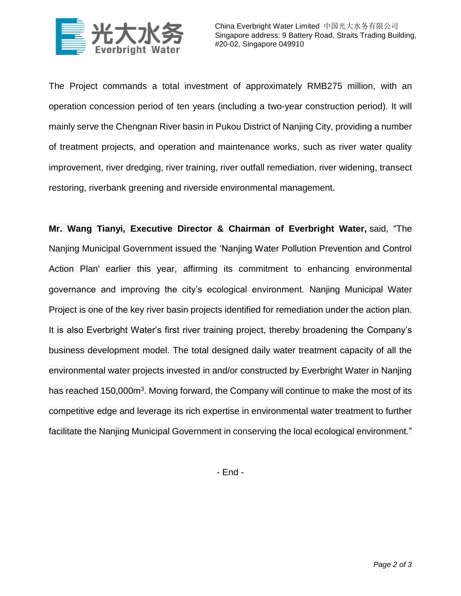

The Project commands a total investment of approximately RMB275 million, with an operation concession period of ten years (including a two-year construction period). It will mainly serve the Chengnan River basin in Pukou District of Nanjing City, providing a number of treatment projects, and operation and maintenance works, such as river water quality improvement, river dredging, river training, river outfall remediation, river widening, transect restoring, riverbank greening and riverside environmental management.

**Mr. Wang Tianyi, Executive Director & Chairman of Everbright Water,** said, "The Nanjing Municipal Government issued the 'Nanjing Water Pollution Prevention and Control Action Plan' earlier this year, affirming its commitment to enhancing environmental governance and improving the city's ecological environment. Nanjing Municipal Water Project is one of the key river basin projects identified for remediation under the action plan. It is also Everbright Water's first river training project, thereby broadening the Company's business development model. The total designed daily water treatment capacity of all the environmental water projects invested in and/or constructed by Everbright Water in Nanjing has reached 150,000m<sup>3</sup>. Moving forward, the Company will continue to make the most of its competitive edge and leverage its rich expertise in environmental water treatment to further facilitate the Nanjing Municipal Government in conserving the local ecological environment."

- End -